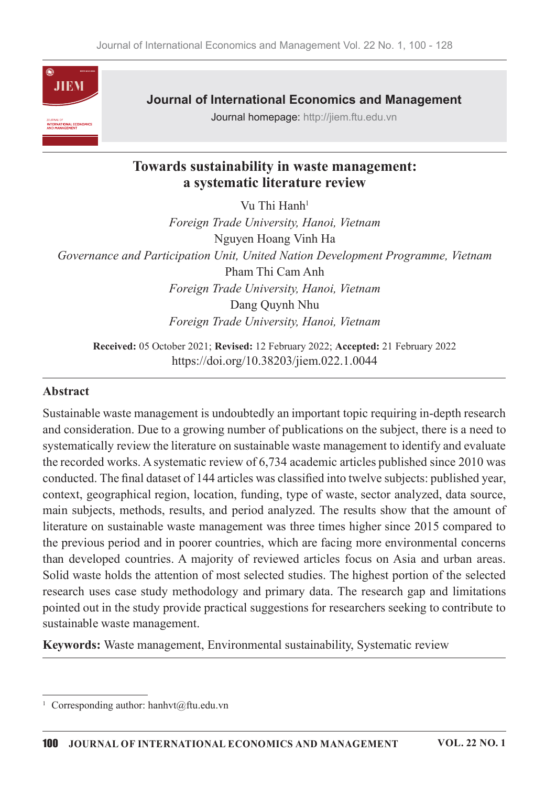

**Journal of International Economics and Management** 

Journal homepage: http://jiem.ftu.edu.vn

# Towards sustainability in waste management: a systematic literature review

Vu Thi Hanh<sup>1</sup> Foreign Trade University, Hanoi, Vietnam Nguyen Hoang Vinh Ha Governance and Participation Unit, United Nation Development Programme, Vietnam Pham Thi Cam Anh Foreign Trade University, Hanoi, Vietnam Dang Quynh Nhu Foreign Trade University, Hanoi, Vietnam

Received: 05 October 2021; Revised: 12 February 2022; Accepted: 21 February 2022 https://doi.org/10.38203/jiem.022.1.0044

#### Abstract

Sustainable waste management is undoubtedly an important topic requiring in-depth research and consideration. Due to a growing number of publications on the subject, there is a need to systematically review the literature on sustainable waste management to identify and evaluate the recorded works. A systematic review of 6,734 academic articles published since 2010 was conducted. The final dataset of 144 articles was classified into twelve subjects: published year, context, geographical region, location, funding, type of waste, sector analyzed, data source, main subjects, methods, results, and period analyzed. The results show that the amount of literature on sustainable waste management was three times higher since 2015 compared to the previous period and in poorer countries, which are facing more environmental concerns than developed countries. A majority of reviewed articles focus on Asia and urban areas. Solid waste holds the attention of most selected studies. The highest portion of the selected research uses case study methodology and primary data. The research gap and limitations pointed out in the study provide practical suggestions for researchers seeking to contribute to sustainable waste management.

Keywords: Waste management, Environmental sustainability, Systematic review

<sup>&</sup>lt;sup>1</sup> Corresponding author: hanhvt@ftu.edu.vn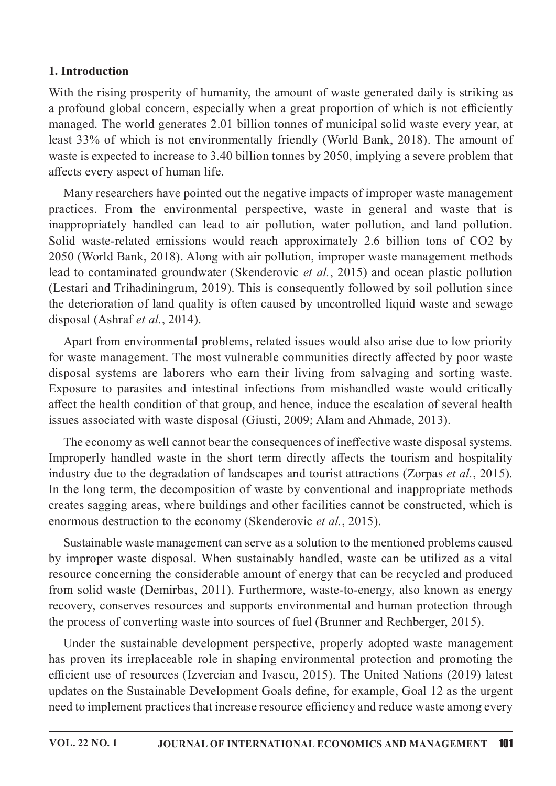## 1. Introduction

With the rising prosperity of humanity, the amount of waste generated daily is striking as a profound global concern, especially when a great proportion of which is not efficiently managed. The world generates 2.01 billion tonnes of municipal solid waste every year, at least 33% of which is not environmentally friendly (World Bank, 2018). The amount of waste is expected to increase to 3.40 billion tonnes by 2050, implying a severe problem that affects every aspect of human life.

Many researchers have pointed out the negative impacts of improper waste management practices. From the environmental perspective, waste in general and waste that is inappropriately handled can lead to air pollution, water pollution, and land pollution. Solid waste-related emissions would reach approximately 2.6 billion tons of CO2 by 2050 (World Bank, 2018). Along with air pollution, improper waste management methods lead to contaminated groundwater (Skenderovic et al., 2015) and ocean plastic pollution (Lestari and Trihadiningrum, 2019). This is consequently followed by soil pollution since the deterioration of land quality is often caused by uncontrolled liquid waste and sewage disposal (Ashraf et al., 2014).

Apart from environmental problems, related issues would also arise due to low priority for waste management. The most vulnerable communities directly affected by poor waste disposal systems are laborers who earn their living from salvaging and sorting waste. Exposure to parasites and intestinal infections from mishandled waste would critically affect the health condition of that group, and hence, induce the escalation of several health issues associated with waste disposal (Giusti, 2009; Alam and Ahmade, 2013).

The economy as well cannot bear the consequences of ineffective waste disposal systems. Improperly handled waste in the short term directly affects the tourism and hospitality industry due to the degradation of landscapes and tourist attractions (Zorpas et al., 2015). In the long term, the decomposition of waste by conventional and inappropriate methods creates sagging areas, where buildings and other facilities cannot be constructed, which is enormous destruction to the economy (Skenderovic et al., 2015).

Sustainable waste management can serve as a solution to the mentioned problems caused by improper waste disposal. When sustainably handled, waste can be utilized as a vital resource concerning the considerable amount of energy that can be recycled and produced from solid waste (Demirbas, 2011). Furthermore, waste-to-energy, also known as energy recovery, conserves resources and supports environmental and human protection through the process of converting waste into sources of fuel (Brunner and Rechberger, 2015).

Under the sustainable development perspective, properly adopted waste management has proven its irreplaceable role in shaping environmental protection and promoting the efficient use of resources (Izvercian and Ivascu, 2015). The United Nations (2019) latest updates on the Sustainable Development Goals define, for example, Goal 12 as the urgent need to implement practices that increase resource efficiency and reduce waste among every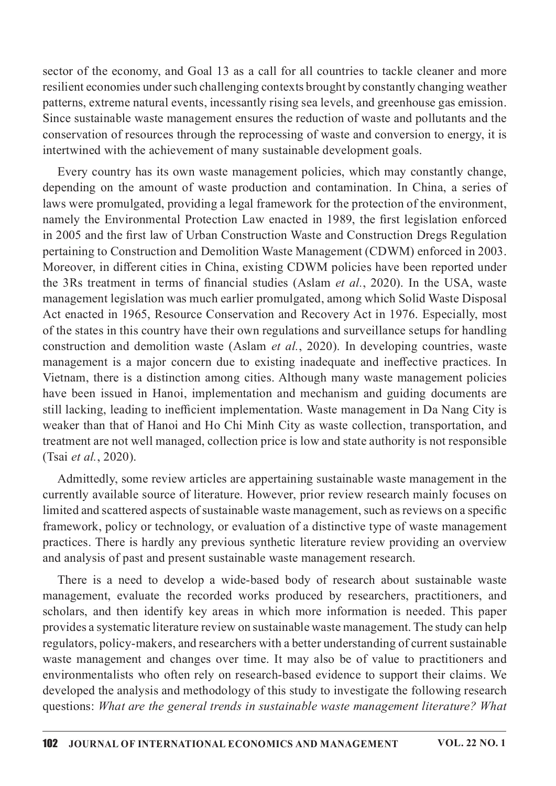sector of the economy, and Goal 13 as a call for all countries to tackle cleaner and more resilient economies under such challenging contexts brought by constantly changing weather patterns, extreme natural events, incessantly rising sea levels, and greenhouse gas emission. Since sustainable waste management ensures the reduction of waste and pollutants and the conservation of resources through the reprocessing of waste and conversion to energy, it is intertwined with the achievement of many sustainable development goals.

Every country has its own waste management policies, which may constantly change, depending on the amount of waste production and contamination. In China, a series of laws were promulgated, providing a legal framework for the protection of the environment, namely the Environmental Protection Law enacted in 1989, the first legislation enforced in 2005 and the first law of Urban Construction Waste and Construction Dregs Regulation pertaining to Construction and Demolition Waste Management (CDWM) enforced in 2003. Moreover, in different cities in China, existing CDWM policies have been reported under the 3Rs treatment in terms of financial studies (Aslam et al., 2020). In the USA, waste management legislation was much earlier promulgated, among which Solid Waste Disposal Act enacted in 1965, Resource Conservation and Recovery Act in 1976. Especially, most of the states in this country have their own regulations and surveillance setups for handling construction and demolition waste (Aslam *et al.*, 2020). In developing countries, waste management is a major concern due to existing inadequate and ineffective practices. In Vietnam, there is a distinction among cities. Although many waste management policies have been issued in Hanoi, implementation and mechanism and guiding documents are still lacking, leading to inefficient implementation. Waste management in Da Nang City is weaker than that of Hanoi and Ho Chi Minh City as waste collection, transportation, and treatment are not well managed, collection price is low and state authority is not responsible (Tsai et al., 2020).

Admittedly, some review articles are appertaining sustainable waste management in the currently available source of literature. However, prior review research mainly focuses on limited and scattered aspects of sustainable waste management, such as reviews on a specific framework, policy or technology, or evaluation of a distinctive type of waste management practices. There is hardly any previous synthetic literature review providing an overview and analysis of past and present sustainable waste management research.

There is a need to develop a wide-based body of research about sustainable waste management, evaluate the recorded works produced by researchers, practitioners, and scholars, and then identify key areas in which more information is needed. This paper provides a systematic literature review on sustainable waste management. The study can help regulators, policy-makers, and researchers with a better understanding of current sustainable waste management and changes over time. It may also be of value to practitioners and environmentalists who often rely on research-based evidence to support their claims. We developed the analysis and methodology of this study to investigate the following research questions: What are the general trends in sustainable waste management literature? What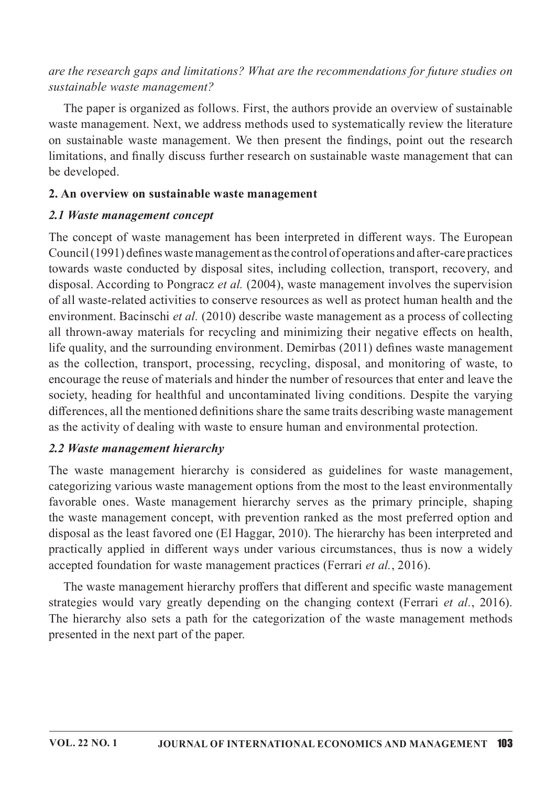## are the research gaps and limitations? What are the recommendations for future studies on sustainable waste management?

The paper is organized as follows. First, the authors provide an overview of sustainable waste management. Next, we address methods used to systematically review the literature on sustainable waste management. We then present the findings, point out the research limitations, and finally discuss further research on sustainable waste management that can be developed.

#### 2. An overview on sustainable waste management

#### 2.1 Waste management concept

The concept of waste management has been interpreted in different ways. The European  $Count(1991)$  defines waste management as the control of operations and after-care practices towards waste conducted by disposal sites, including collection, transport, recovery, and disposal. According to Pongracz et al. (2004), waste management involves the supervision of all waste-related activities to conserve resources as well as protect human health and the environment. Bacinschi et al. (2010) describe waste management as a process of collecting all thrown-away materials for recycling and minimizing their negative effects on health, life quality, and the surrounding environment. Demirbas (2011) defines waste management as the collection, transport, processing, recycling, disposal, and monitoring of waste, to encourage the reuse of materials and hinder the number of resources that enter and leave the society, heading for healthful and uncontaminated living conditions. Despite the varying differences, all the mentioned definitions share the same traits describing waste management as the activity of dealing with waste to ensure human and environmental protection.

## 2.2 Waste management hierarchy

The waste management hierarchy is considered as guidelines for waste management, categorizing various waste management options from the most to the least environmentally favorable ones. Waste management hierarchy serves as the primary principle, shaping the waste management concept, with prevention ranked as the most preferred option and disposal as the least favored one (El Haggar, 2010). The hierarchy has been interpreted and practically applied in different ways under various circumstances, thus is now a widely accepted foundation for waste management practices (Ferrari et al., 2016).

The waste management hierarchy proffers that different and specific waste management strategies would vary greatly depending on the changing context (Ferrari et al., 2016). The hierarchy also sets a path for the categorization of the waste management methods presented in the next part of the paper.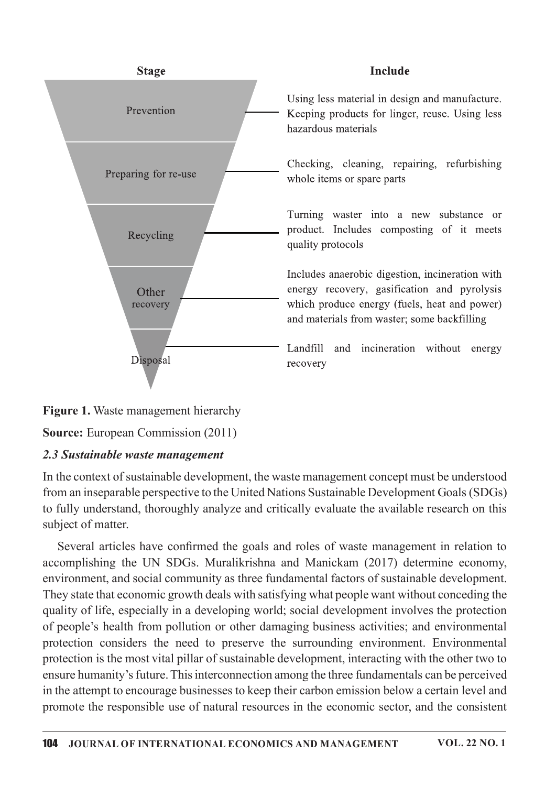

## **Include**

Using less material in design and manufacture. Keeping products for linger, reuse. Using less hazardous materials

Checking, cleaning, repairing, refurbishing whole items or spare parts

Turning waster into a new substance or product. Includes composting of it meets quality protocols

Includes anaerobic digestion, incineration with energy recovery, gasification and pyrolysis which produce energy (fuels, heat and power) and materials from waster; some backfilling

Landfill and incineration without energy recovery

# **Figure 1.** Waste management hierarchy

Source: European Commission (2011)

## 2.3 Sustainable waste management

In the context of sustainable development, the waste management concept must be understood from an inseparable perspective to the United Nations Sustainable Development Goals (SDGs) to fully understand, thoroughly analyze and critically evaluate the available research on this subject of matter.

Several articles have confirmed the goals and roles of waste management in relation to accomplishing the UN SDGs. Muralikrishna and Manickam (2017) determine economy, environment, and social community as three fundamental factors of sustainable development. They state that economic growth deals with satisfying what people want without conceding the quality of life, especially in a developing world; social development involves the protection of people's health from pollution or other damaging business activities; and environmental protection considers the need to preserve the surrounding environment. Environmental protection is the most vital pillar of sustainable development, interacting with the other two to ensure humanity's future. This interconnection among the three fundamentals can be perceived in the attempt to encourage businesses to keep their carbon emission below a certain level and promote the responsible use of natural resources in the economic sector, and the consistent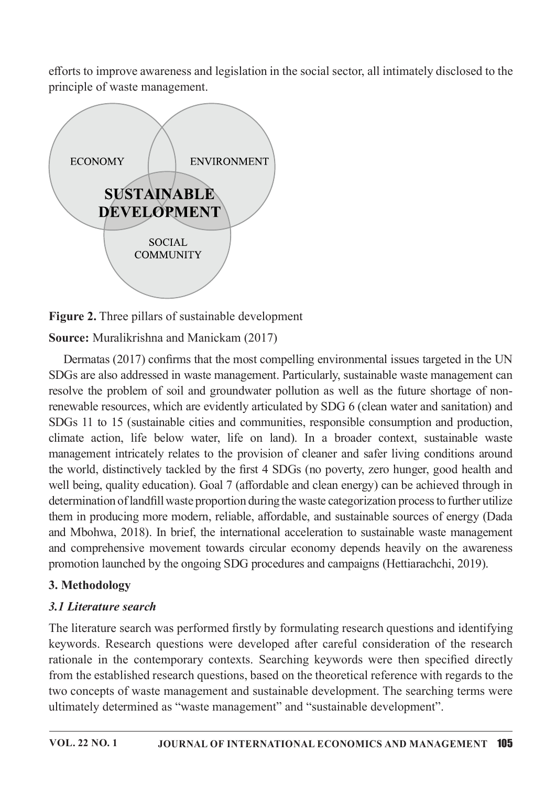efforts to improve awareness and legislation in the social sector, all intimately disclosed to the principle of waste management.



Figure 2. Three pillars of sustainable development

Source: Muralikrishna and Manickam (2017)

Dermatas (2017) confirms that the most compelling environmental issues targeted in the UN SDGs are also addressed in waste management. Particularly, sustainable waste management can resolve the problem of soil and groundwater pollution as well as the future shortage of nonrenewable resources, which are evidently articulated by SDG 6 (clean water and sanitation) and SDGs 11 to 15 (sustainable cities and communities, responsible consumption and production, climate action, life below water, life on land). In a broader context, sustainable waste management intricately relates to the provision of cleaner and safer living conditions around the world, distinctively tackled by the first 4 SDGs (no poverty, zero hunger, good health and well being, quality education). Goal 7 (affordable and clean energy) can be achieved through in determination of landfill waste proportion during the waste categorization process to further utilize them in producing more modern, reliable, affordable, and sustainable sources of energy (Dada and Mbohwa, 2018). In brief, the international acceleration to sustainable waste management and comprehensive movement towards circular economy depends heavily on the awareness promotion launched by the ongoing SDG procedures and campaigns (Hettiarachchi, 2019).

# 3.Methodology

# 3.1 Literature search

The literature search was performed firstly by formulating research questions and identifying keywords. Research questions were developed after careful consideration of the research rationale in the contemporary contexts. Searching keywords were then specified directly from the established research questions, based on the theoretical reference with regards to the two concepts of waste management and sustainable development. The searching terms were ultimately determined as "waste management" and "sustainable development".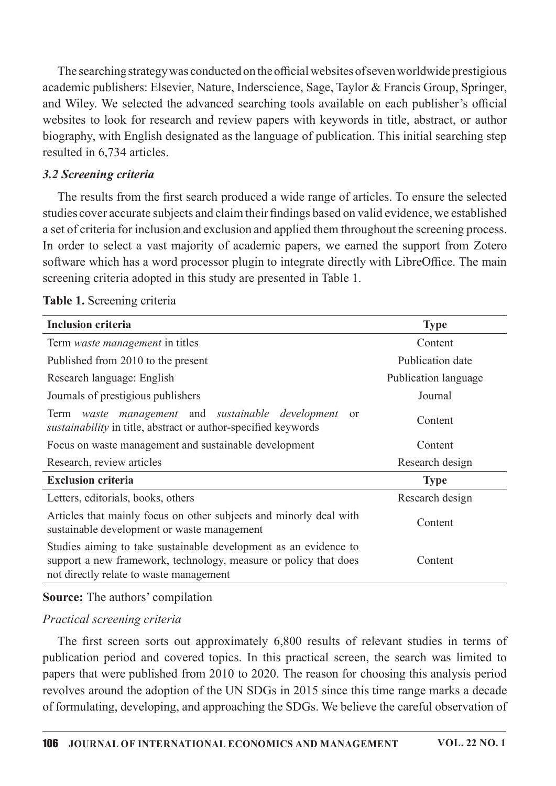The searching strategy was conducted on the official websites of seven worldwide prestigious academic publishers: Elsevier, Nature, Inderscience, Sage, Taylor & Francis Group, Springer, and Wiley. We selected the advanced searching tools available on each publisher's official websites to look for research and review papers with keywords in title, abstract, or author biography, with English designated as the language of publication. This initial searching step resulted in 6,734 articles.

#### 3.2 Screening criteria

The results from the first search produced a wide range of articles. To ensure the selected studies cover accurate subjects and claim their findings based on valid evidence, we established a set of criteria for inclusion and exclusion and applied them throughout the screening process. In order to select a vast majority of academic papers, we earned the support from Zotero software which has a word processor plugin to integrate directly with LibreOffice. The main screening criteria adopted in this study are presented in Table 1.

| <b>Inclusion criteria</b>                                                                                                                                                       | <b>Type</b>          |
|---------------------------------------------------------------------------------------------------------------------------------------------------------------------------------|----------------------|
| Term waste management in titles                                                                                                                                                 | Content              |
| Published from 2010 to the present                                                                                                                                              | Publication date     |
| Research language: English                                                                                                                                                      | Publication language |
| Journals of prestigious publishers                                                                                                                                              | Journal              |
| Term waste management and sustainable development<br><sub>or</sub><br>sustainability in title, abstract or author-specified keywords                                            | Content              |
| Focus on waste management and sustainable development                                                                                                                           | Content              |
| Research, review articles                                                                                                                                                       | Research design      |
| <b>Exclusion criteria</b>                                                                                                                                                       | <b>Type</b>          |
| Letters, editorials, books, others                                                                                                                                              | Research design      |
| Articles that mainly focus on other subjects and minorly deal with<br>sustainable development or waste management                                                               | Content              |
| Studies aiming to take sustainable development as an evidence to<br>support a new framework, technology, measure or policy that does<br>not directly relate to waste management | Content              |

#### Table 1. Screening criteria

## Source: The authors' compilation

## Practical screening criteria

The first screen sorts out approximately 6,800 results of relevant studies in terms of publication period and covered topics. In this practical screen, the search was limited to papers that were published from 2010 to 2020. The reason for choosing this analysis period revolves around the adoption of the UN SDGs in 2015 since this time range marks a decade of formulating, developing, and approaching the SDGs. We believe the careful observation of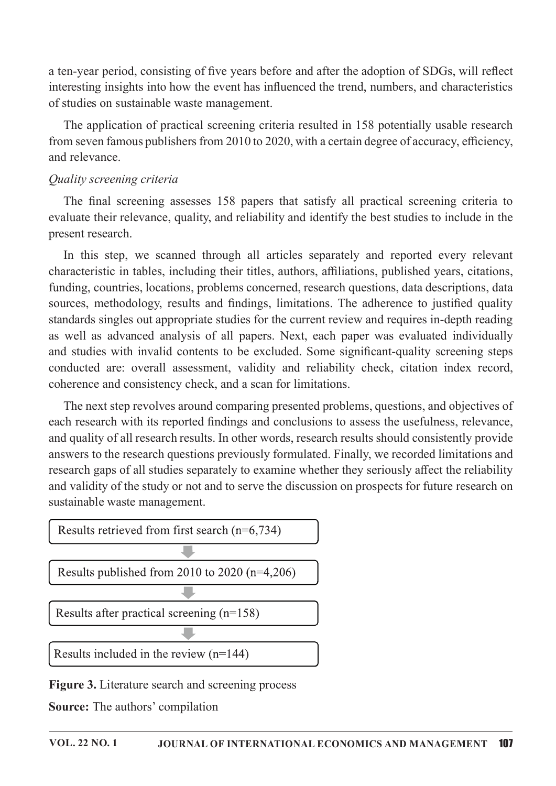a ten-year period, consisting of five years before and after the adoption of SDGs, will reflect interesting insights into how the event has influenced the trend, numbers, and characteristics of studies on sustainable waste management.

The application of practical screening criteria resulted in 158 potentially usable research from seven famous publishers from  $2010$  to  $2020$ , with a certain degree of accuracy, efficiency, and relevance.

#### Ouality screening criteria

The final screening assesses 158 papers that satisfy all practical screening criteria to evaluate their relevance, quality, and reliability and identify the best studies to include in the present research.

In this step, we scanned through all articles separately and reported every relevant characteristic in tables, including their titles, authors, affiliations, published years, citations, funding, countries, locations, problems concerned, research questions, data descriptions, data sources, methodology, results and findings, limitations. The adherence to justified quality standards singles out appropriate studies for the current review and requires in-depth reading as well as advanced analysis of all papers. Next, each paper was evaluated individually and studies with invalid contents to be excluded. Some significant-quality screening steps conducted are: overall assessment, validity and reliability check, citation index record, coherence and consistency check, and a scan for limitations.

The next step revolves around comparing presented problems, questions, and objectives of each research with its reported findings and conclusions to assess the usefulness, relevance, and quality of all research results. In other words, research results should consistently provide answers to the research questions previously formulated. Finally, we recorded limitations and research gaps of all studies separately to examine whether they seriously affect the reliability and validity of the study or not and to serve the discussion on prospects for future research on sustainable waste management.



Figure 3. Literature search and screening process

Source: The authors' compilation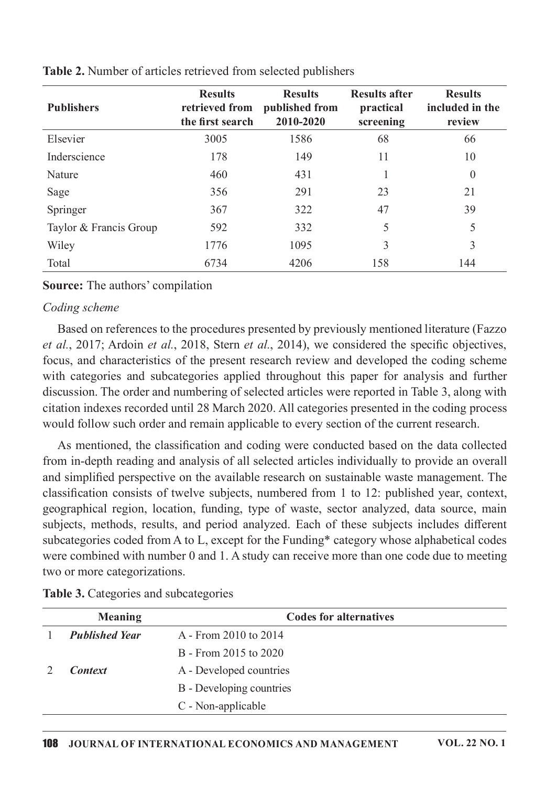| <b>Publishers</b>      | <b>Results</b><br>retrieved from<br>the first search | <b>Results</b><br>published from<br>2010-2020 | <b>Results after</b><br>practical<br>screening | <b>Results</b><br>included in the<br>review |
|------------------------|------------------------------------------------------|-----------------------------------------------|------------------------------------------------|---------------------------------------------|
| Elsevier               | 3005                                                 | 1586                                          | 68                                             | 66                                          |
| Inderscience           | 178                                                  | 149                                           | 11                                             | 10                                          |
| Nature                 | 460                                                  | 431                                           |                                                | $\overline{0}$                              |
| Sage                   | 356                                                  | 291                                           | 23                                             | 21                                          |
| Springer               | 367                                                  | 322                                           | 47                                             | 39                                          |
| Taylor & Francis Group | 592                                                  | 332                                           | 5                                              | 5                                           |
| Wiley                  | 1776                                                 | 1095                                          | 3                                              | 3                                           |
| Total                  | 6734                                                 | 4206                                          | 158                                            | 144                                         |

Table 2. Number of articles retrieved from selected publishers

#### Source: The authors' compilation

#### Coding scheme

Based on references to the procedures presented by previously mentioned literature (Fazzo et al., 2017; Ardoin et al., 2018, Stern et al., 2014), we considered the specific objectives, focus, and characteristics of the present research review and developed the coding scheme with categories and subcategories applied throughout this paper for analysis and further discussion. The order and numbering of selected articles were reported in Table 3, along with citation indexes recorded until 28 March 2020. All categories presented in the coding process would follow such order and remain applicable to every section of the current research.

As mentioned, the classification and coding were conducted based on the data collected from in-depth reading and analysis of all selected articles individually to provide an overall and simplified perspective on the available research on sustainable waste management. The classification consists of twelve subjects, numbered from 1 to 12: published year, context, geographical region, location, funding, type of waste, sector analyzed, data source, main subjects, methods, results, and period analyzed. Each of these subjects includes different subcategories coded from A to L, except for the Funding\* category whose alphabetical codes were combined with number  $0$  and  $1$ . A study can receive more than one code due to meeting two or more categorizations.

|  | Table 3. Categories and subcategories |  |  |
|--|---------------------------------------|--|--|
|  |                                       |  |  |

| <b>Meaning</b>        | <b>Codes for alternatives</b> |  |
|-----------------------|-------------------------------|--|
| <b>Published Year</b> | A - From 2010 to 2014         |  |
|                       | B - From 2015 to 2020         |  |
| <b>Context</b>        | A - Developed countries       |  |
|                       | B - Developing countries      |  |
|                       | C - Non-applicable            |  |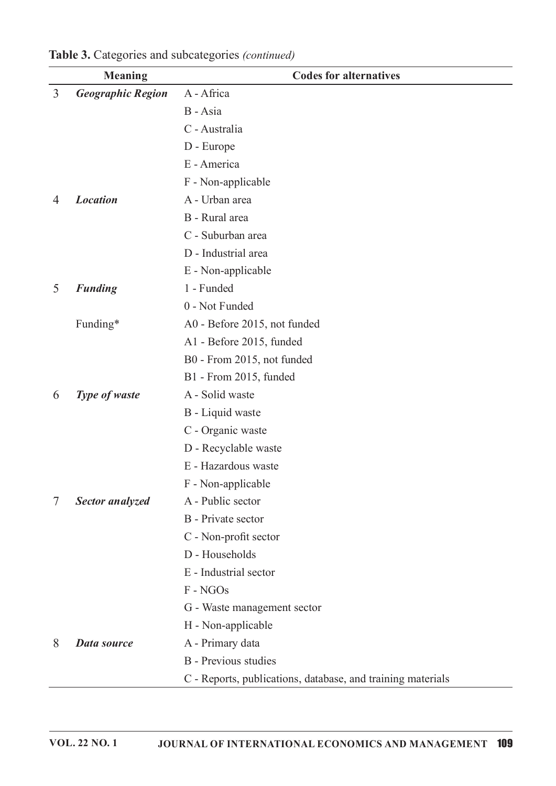|   | <b>Meaning</b>           | <b>Codes for alternatives</b>                               |
|---|--------------------------|-------------------------------------------------------------|
| 3 | <b>Geographic Region</b> | A - Africa                                                  |
|   |                          | B - Asia                                                    |
|   |                          | C - Australia                                               |
|   |                          | D - Europe                                                  |
|   |                          | E - America                                                 |
|   |                          | F - Non-applicable                                          |
| 4 | <b>Location</b>          | A - Urban area                                              |
|   |                          | B - Rural area                                              |
|   |                          | C - Suburban area                                           |
|   |                          | D - Industrial area                                         |
|   |                          | E - Non-applicable                                          |
| 5 | <b>Funding</b>           | 1 - Funded                                                  |
|   |                          | 0 - Not Funded                                              |
|   | Funding*                 | A0 - Before 2015, not funded                                |
|   |                          | A1 - Before 2015, funded                                    |
|   |                          | B0 - From 2015, not funded                                  |
|   |                          | B1 - From 2015, funded                                      |
| 6 | Type of waste            | A - Solid waste                                             |
|   |                          | B - Liquid waste                                            |
|   |                          | C - Organic waste                                           |
|   |                          | D - Recyclable waste                                        |
|   |                          | E - Hazardous waste                                         |
|   |                          | F - Non-applicable                                          |
| 7 | Sector analyzed          | A - Public sector                                           |
|   |                          | B - Private sector                                          |
|   |                          | C - Non-profit sector                                       |
|   |                          | D - Households                                              |
|   |                          | E - Industrial sector                                       |
|   |                          | F - NGOs                                                    |
|   |                          | G - Waste management sector                                 |
|   |                          | H - Non-applicable                                          |
| 8 | Data source              | A - Primary data                                            |
|   |                          | <b>B</b> - Previous studies                                 |
|   |                          | C - Reports, publications, database, and training materials |

Table 3. Categories and subcategories (continued)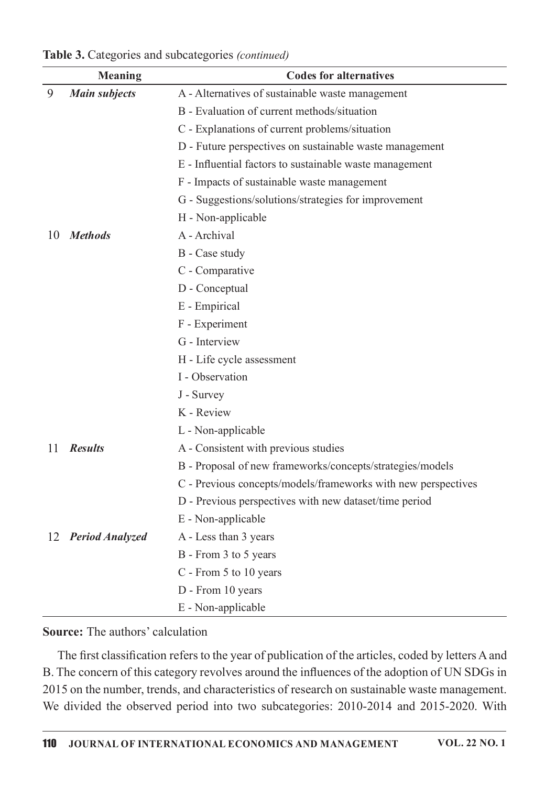|    | <b>Meaning</b>       | <b>Codes for alternatives</b>                                 |
|----|----------------------|---------------------------------------------------------------|
| 9  | <b>Main subjects</b> | A - Alternatives of sustainable waste management              |
|    |                      | B - Evaluation of current methods/situation                   |
|    |                      | C - Explanations of current problems/situation                |
|    |                      | D - Future perspectives on sustainable waste management       |
|    |                      | E - Influential factors to sustainable waste management       |
|    |                      | F - Impacts of sustainable waste management                   |
|    |                      | G - Suggestions/solutions/strategies for improvement          |
|    |                      | H - Non-applicable                                            |
| 10 | <b>Methods</b>       | A - Archival                                                  |
|    |                      | B - Case study                                                |
|    |                      | C - Comparative                                               |
|    |                      | D - Conceptual                                                |
|    |                      | E - Empirical                                                 |
|    |                      | F - Experiment                                                |
|    |                      | G - Interview                                                 |
|    |                      | H - Life cycle assessment                                     |
|    |                      | I - Observation                                               |
|    |                      | J - Survey                                                    |
|    |                      | K - Review                                                    |
|    |                      | L - Non-applicable                                            |
| 11 | <b>Results</b>       | A - Consistent with previous studies                          |
|    |                      | B - Proposal of new frameworks/concepts/strategies/models     |
|    |                      | C - Previous concepts/models/frameworks with new perspectives |
|    |                      | D - Previous perspectives with new dataset/time period        |
|    |                      | E - Non-applicable                                            |
|    | 12 Period Analyzed   | A - Less than 3 years                                         |
|    |                      | B - From 3 to 5 years                                         |
|    |                      | C - From 5 to 10 years                                        |
|    |                      | D - From 10 years                                             |
|    |                      | E - Non-applicable                                            |

Table 3. Categories and subcategories (continued)

#### Source: The authors' calculation

The first classification refers to the year of publication of the articles, coded by letters A and B. The concern of this category revolves around the influences of the adoption of UN SDGs in 2015 on the number, trends, and characteristics of research on sustainable waste management. We divided the observed period into two subcategories: 2010-2014 and 2015-2020. With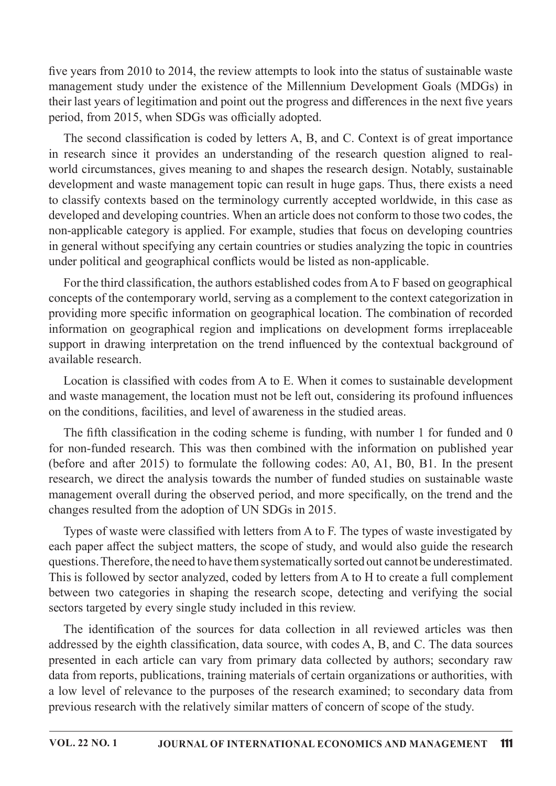five years from  $2010$  to  $2014$ , the review attempts to look into the status of sustainable waste management study under the existence of the Millennium Development Goals (MDGs) in their last years of legitimation and point out the progress and differences in the next five years period, from 2015, when SDGs was officially adopted.

The second classification is coded by letters A, B, and C. Context is of great importance in research since it provides an understanding of the research question aligned to realworld circumstances, gives meaning to and shapes the research design. Notably, sustainable development and waste management topic can result in huge gaps. Thus, there exists a need to classify contexts based on the terminology currently accepted worldwide, in this case as developed and developing countries. When an article does not conform to those two codes, the non-applicable category is applied. For example, studies that focus on developing countries in general without specifying any certain countries or studies analyzing the topic in countries under political and geographical conflicts would be listed as non-applicable.

For the third classification, the authors established codes from A to F based on geographical concepts of the contemporary world, serving as a complement to the context categorization in providing more specific information on geographical location. The combination of recorded information on geographical region and implications on development forms irreplaceable support in drawing interpretation on the trend influenced by the contextual background of available research.

Location is classified with codes from A to E. When it comes to sustainable development and waste management, the location must not be left out, considering its profound influences on the conditions, facilities, and level of awareness in the studied areas.

The fifth classification in the coding scheme is funding, with number 1 for funded and 0 for non-funded research. This was then combined with the information on published year (before and after 2015) to formulate the following codes: A0, A1, B0, B1. In the present research, we direct the analysis towards the number of funded studies on sustainable waste management overall during the observed period, and more specifically, on the trend and the changes resulted from the adoption of UN SDGs in 2015.

Types of waste were classified with letters from A to F. The types of waste investigated by each paper affect the subject matters, the scope of study, and would also guide the research questions. Therefore, the need to have them systematically sorted out cannot be underestimated. This is followed by sector analyzed, coded by letters from A to H to create a full complement between two categories in shaping the research scope, detecting and verifying the social sectors targeted by every single study included in this review.

The identification of the sources for data collection in all reviewed articles was then addressed by the eighth classification, data source, with codes A, B, and C. The data sources presented in each article can vary from primary data collected by authors; secondary raw data from reports, publications, training materials of certain organizations or authorities, with a low level of relevance to the purposes of the research examined; to secondary data from previous research with the relatively similar matters of concern of scope of the study.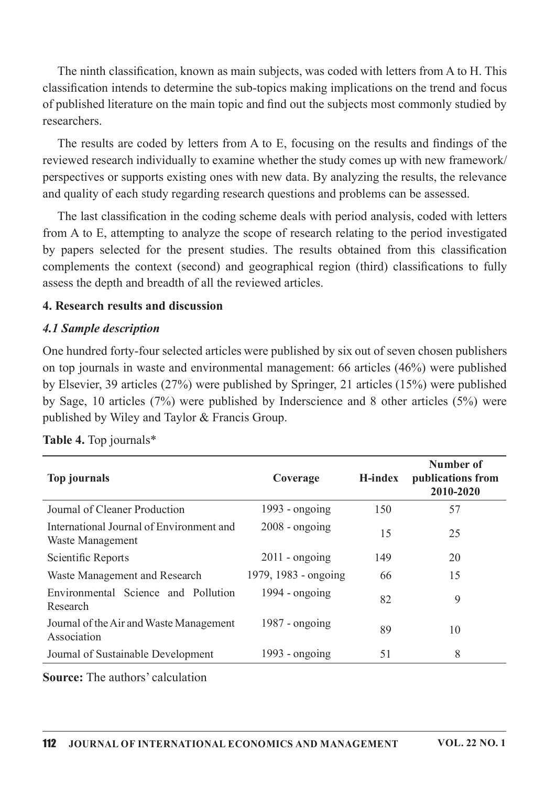The ninth classification, known as main subjects, was coded with letters from A to H. This classification intends to determine the sub-topics making implications on the trend and focus of published literature on the main topic and find out the subjects most commonly studied by researchers.

The results are coded by letters from A to E, focusing on the results and findings of the reviewed research individually to examine whether the study comes up with new framework/ perspectives or supports existing ones with new data. By analyzing the results, the relevance and quality of each study regarding research questions and problems can be assessed.

The last classification in the coding scheme deals with period analysis, coded with letters from A to E, attempting to analyze the scope of research relating to the period investigated by papers selected for the present studies. The results obtained from this classification complements the context (second) and geographical region (third) classifications to fully assess the depth and breadth of all the reviewed articles.

#### 4. Research results and discussion

#### 4.1 Sample description

One hundred forty-four selected articles were published by six out of seven chosen publishers on top journals in waste and environmental management: 66 articles  $(46%)$  were published by Elsevier, 39 articles (27%) were published by Springer, 21 articles (15%) were published by Sage, 10 articles (7%) were published by Inderscience and 8 other articles (5%) were published by Wiley and Taylor & Francis Group.

| publications from<br>2010-2020 |
|--------------------------------|
|                                |
|                                |
|                                |
|                                |
|                                |
|                                |
|                                |
|                                |

Table 4. Top journals\*

**Source:** The authors' calculation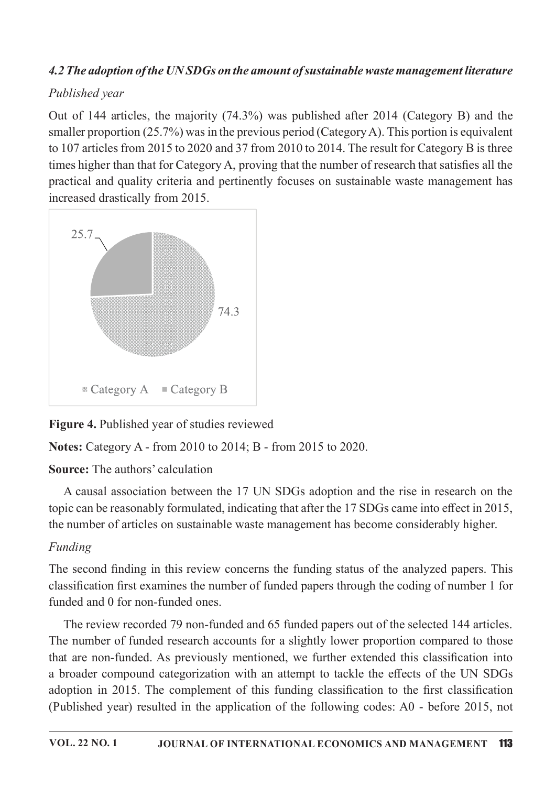# 4.2 The adoption of the UNSDGs on the amount of sustainable waste management literature

## Published year

Out of 144 articles, the majority  $(74.3%)$  was published after 2014 (Category B) and the smaller proportion (25.7%) was in the previous period (Category A). This portion is equivalent to 107 articles from 2015 to 2020 and 37 from 2010 to 2014. The result for Category B is three times higher than that for Category A, proving that the number of research that satisfies all the practical and quality criteria and pertinently focuses on sustainable waste management has increased drastically from 2015.



# Figure 4. Published year of studies reviewed

Notes: Category A - from 2010 to 2014; B - from 2015 to 2020.

# Source: The authors' calculation

A causal association between the 17 UN SDGs adoption and the rise in research on the topic can be reasonably formulated, indicating that after the 17 SDGs came into effect in 2015, the number of articles on sustainable waste management has become considerably higher.

# Funding

The second finding in this review concerns the funding status of the analyzed papers. This classification first examines the number of funded papers through the coding of number 1 for funded and 0 for non-funded ones.

The review recorded 79 non-funded and 65 funded papers out of the selected 144 articles. The number of funded research accounts for a slightly lower proportion compared to those that are non-funded. As previously mentioned, we further extended this classification into a broader compound categorization with an attempt to tackle the effects of the UN SDGs adoption in 2015. The complement of this funding classification to the first classification (Published year) resulted in the application of the following codes:  $A0$  - before 2015, not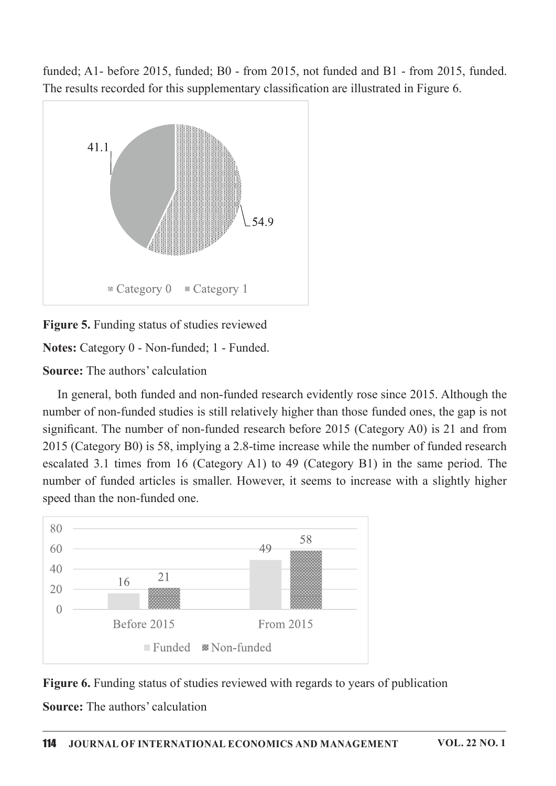funded; A1- before 2015, funded; B0 - from 2015, not funded and B1 - from 2015, funded. The results recorded for this supplementary classification are illustrated in Figure 6.



Figure 5. Funding status of studies reviewed

Notes: Category 0 - Non-funded; 1 - Funded.

**Source:** The authors' calculation

In general, both funded and non-funded research evidently rose since 2015. Although the number of non-funded studies is still relatively higher than those funded ones, the gap is not significant. The number of non-funded research before  $2015$  (Category A0) is 21 and from 2015 (Category B0) is 58, implying a 2.8-time increase while the number of funded research escalated 3.1 times from 16 (Category A1) to 49 (Category B1) in the same period. The number of funded articles is smaller. However, it seems to increase with a slightly higher speed than the non-funded one.



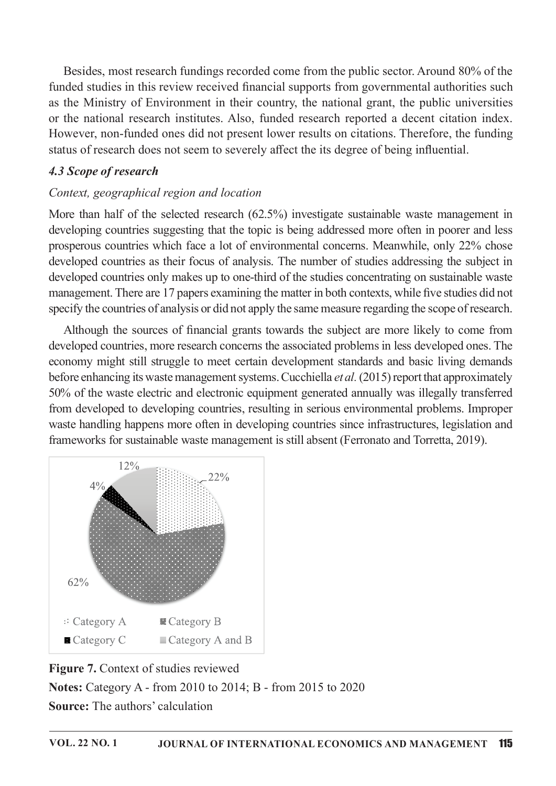Besides, most research fundings recorded come from the public sector. Around 80% of the funded studies in this review received financial supports from governmental authorities such as the Ministry of Environment in their country, the national grant, the public universities or the national research institutes. Also, funded research reported a decent citation index. However, non-funded ones did not present lower results on citations. Therefore, the funding status of research does not seem to severely affect the its degree of being influential.

## 4.3 Scope of research

## Context, geographical region and location

More than half of the selected research  $(62.5%)$  investigate sustainable waste management in developing countries suggesting that the topic is being addressed more often in poorer and less prosperous countries which face a lot of environmental concerns. Meanwhile, only 22% chose developed countries as their focus of analysis. The number of studies addressing the subject in developed countries only makes up to one-third of the studies concentrating on sustainable waste management. There are 17 papers examining the matter in both contexts, while five studies did not specify the countries of analysis or did not apply the same measure regarding the scope of research.

Although the sources of financial grants towards the subject are more likely to come from developed countries, more research concerns the associated problems in less developed ones. The economy might still struggle to meet certain development standards and basic living demands before enhancing its waste management systems. Cucchiella et al. (2015) report that approximately 50% of the waste electric and electronic equipment generated annually was illegally transferred from developed to developing countries, resulting in serious environmental problems. Improper waste handling happens more often in developing countries since infrastructures, legislation and frameworks for sustainable waste management is still absent (Ferronato and Torretta, 2019).



Figure 7. Context of studies reviewed Notes: Category A - from 2010 to 2014; B - from 2015 to 2020 **Source:** The authors' calculation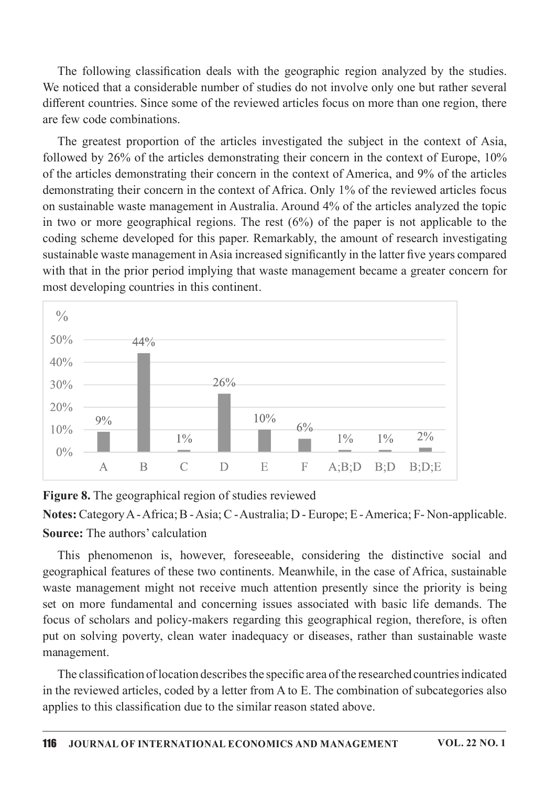The following classification deals with the geographic region analyzed by the studies. We noticed that a considerable number of studies do not involve only one but rather several different countries. Since some of the reviewed articles focus on more than one region, there are few code combinations.

The greatest proportion of the articles investigated the subject in the context of Asia, followed by  $26\%$  of the articles demonstrating their concern in the context of Europe,  $10\%$ of the articles demonstrating their concern in the context of America, and 9% of the articles demonstrating their concern in the context of Africa. Only 1% of the reviewed articles focus on sustainable waste management in Australia. Around 4% of the articles analyzed the topic in two or more geographical regions. The rest  $(6%)$  of the paper is not applicable to the coding scheme developed for this paper. Remarkably, the amount of research investigating sustainable waste management in Asia increased significantly in the latter five years compared with that in the prior period implying that waste management became a greater concern for most developing countries in this continent.



Figure 8. The geographical region of studies reviewed

Notes:CategoryA-Africa;B-Asia;C-Australia;D-Europe;E-America;F-Non-applicable. Source: The authors' calculation

This phenomenon is, however, foreseeable, considering the distinctive social and geographical features of these two continents. Meanwhile, in the case of Africa, sustainable waste management might not receive much attention presently since the priority is being set on more fundamental and concerning issues associated with basic life demands. The focus of scholars and policy-makers regarding this geographical region, therefore, is often put on solving poverty, clean water inadequacy or diseases, rather than sustainable waste management.

The classification of location describes the specific area of the researched countries indicated in the reviewed articles, coded by a letter from A to E. The combination of subcategories also applies to this classification due to the similar reason stated above.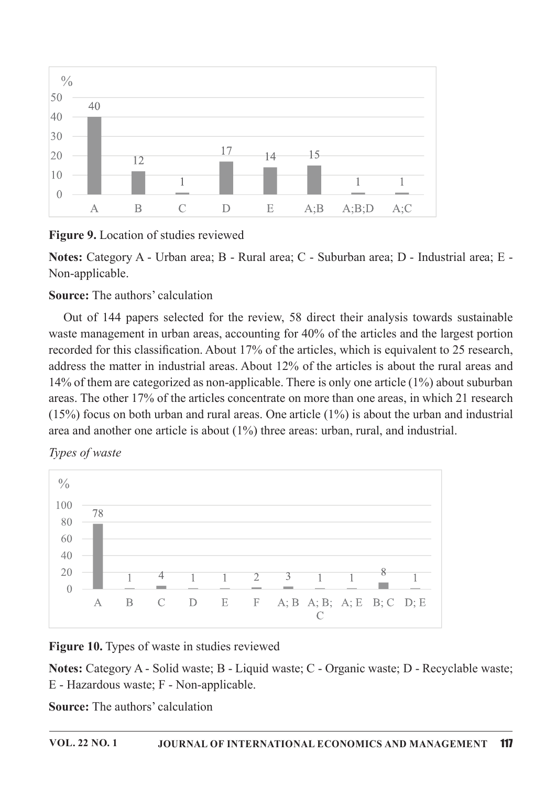

Figure 9. Location of studies reviewed

Notes: Category A - Urban area; B - Rural area; C - Suburban area; D - Industrial area; E -Non-applicable.

## **Source:** The authors' calculation

Out of 144 papers selected for the review, 58 direct their analysis towards sustainable waste management in urban areas, accounting for 40% of the articles and the largest portion recorded for this classification. About 17% of the articles, which is equivalent to 25 research, address the matter in industrial areas. About 12% of the articles is about the rural areas and 14% of them are categorized as non-applicable. There is only one article  $(1\%)$  about suburban areas. The other 17% of the articles concentrate on more than one areas, in which 21 research (15%) focus on both urban and rural areas. One article  $(1\%)$  is about the urban and industrial area and another one article is about  $(1%)$  three areas: urban, rural, and industrial.





Figure 10. Types of waste in studies reviewed

Notes: Category A - Solid waste; B - Liquid waste; C - Organic waste; D - Recyclable waste; E-Hazardouswaste;F-Non-applicable.

**Source:** The authors' calculation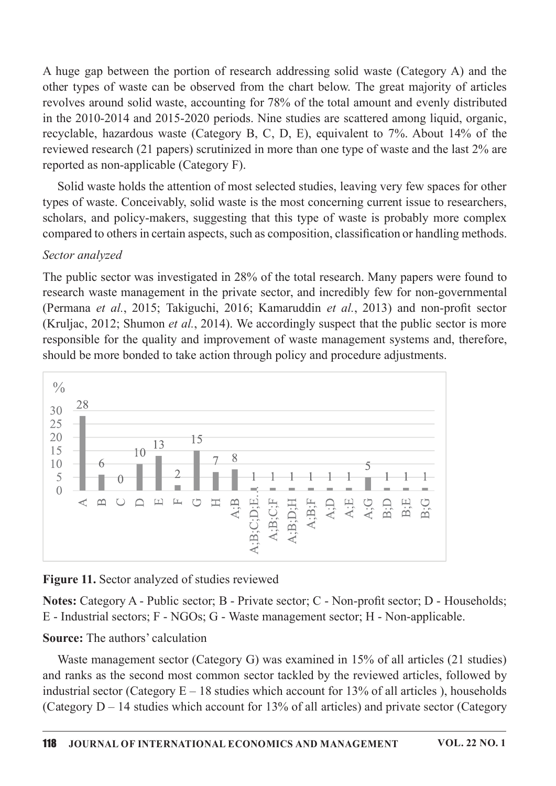A huge gap between the portion of research addressing solid waste (Category A) and the other types of waste can be observed from the chart below. The great majority of articles revolves around solid waste, accounting for 78% of the total amount and evenly distributed in the 2010-2014 and 2015-2020 periods. Nine studies are scattered among liquid, organic, recyclable, hazardous waste (Category B, C, D, E), equivalent to  $7\%$ . About  $14\%$  of the reviewed research (21 papers) scrutinized in more than one type of waste and the last 2% are reported as non-applicable (Category F).

Solid waste holds the attention of most selected studies, leaving very few spaces for other types of waste. Conceivably, solid waste is the most concerning current issue to researchers, scholars, and policy-makers, suggesting that this type of waste is probably more complex compared to others in certain aspects, such as composition, classification or handling methods.

#### Sector analyzed

The public sector was investigated in 28% of the total research. Many papers were found to research waste management in the private sector, and incredibly few for non-governmental (Permana et al., 2015; Takiguchi, 2016; Kamaruddin et al., 2013) and non-profit sector (Kruljac, 2012; Shumon *et al.*, 2014). We accordingly suspect that the public sector is more responsible for the quality and improvement of waste management systems and, therefore, should be more bonded to take action through policy and procedure adjustments.



Figure 11. Sector analyzed of studies reviewed

Notes: Category A - Public sector; B - Private sector; C - Non-profit sector; D - Households; E - Industrial sectors; F - NGOs; G - Waste management sector; H - Non-applicable.

## **Source:** The authors' calculation

Waste management sector (Category G) was examined in  $15\%$  of all articles (21 studies) and ranks as the second most common sector tackled by the reviewed articles, followed by industrial sector (Category  $E-18$  studies which account for 13% of all articles), households (Category  $D-14$  studies which account for 13% of all articles) and private sector (Category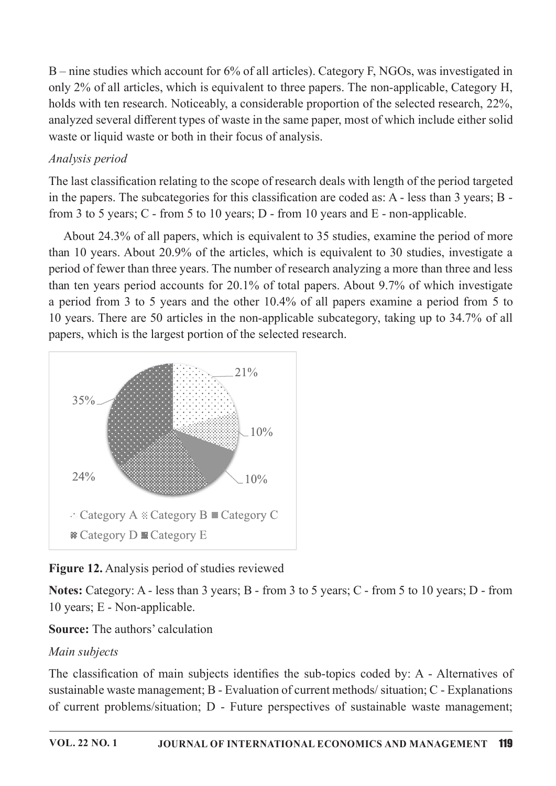$B$  – nine studies which account for 6% of all articles). Category F, NGOs, was investigated in only 2% of all articles, which is equivalent to three papers. The non-applicable, Category H, holds with ten research. Noticeably, a considerable proportion of the selected research, 22%, analyzed several different types of waste in the same paper, most of which include either solid waste or liquid waste or both in their focus of analysis.

## Analysis period

The last classification relating to the scope of research deals with length of the period targeted in the papers. The subcategories for this classification are coded as: A - less than 3 years; B from 3 to 5 years; C - from 5 to 10 years; D - from 10 years and  $E$  - non-applicable.

About 24.3% of all papers, which is equivalent to 35 studies, examine the period of more than 10 years. About 20.9% of the articles, which is equivalent to 30 studies, investigate a period of fewer than three years. The number of research analyzing a more than three and less than ten years period accounts for  $20.1\%$  of total papers. About 9.7% of which investigate a period from 3 to 5 years and the other 10.4% of all papers examine a period from 5 to 10 years. There are 50 articles in the non-applicable subcategory, taking up to 34.7% of all papers, which is the largest portion of the selected research.



# Figure 12. Analysis period of studies reviewed

Notes: Category: A - less than 3 years; B - from 3 to 5 years; C - from 5 to 10 years; D - from 10 years; E - Non-applicable.

# **Source:** The authors' calculation

# Main subjects

The classification of main subjects identifies the sub-topics coded by: A - Alternatives of sustainable waste management; B - Evaluation of current methods/situation; C - Explanations of current problems/situation; D - Future perspectives of sustainable waste management;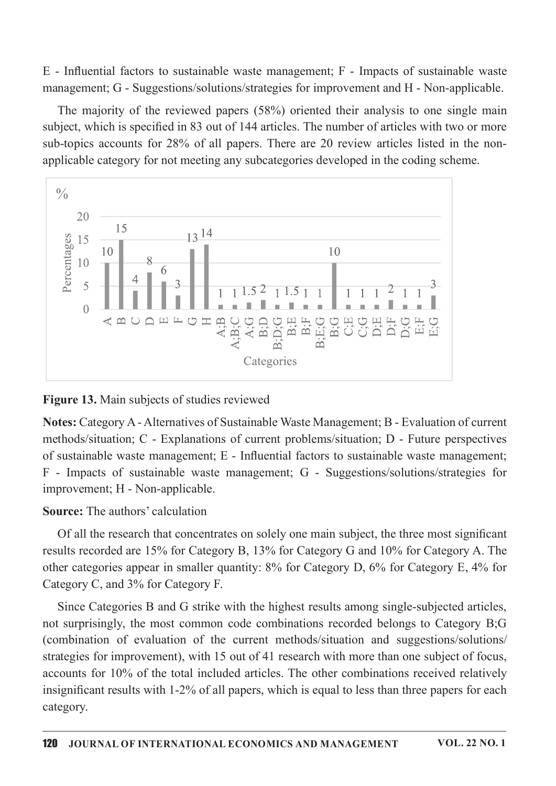$E$  - Influential factors to sustainable waste management; F - Impacts of sustainable waste management; G - Suggestions/solutions/strategies for improvement and H - Non-applicable.

The majority of the reviewed papers  $(58%)$  oriented their analysis to one single main subject, which is specified in 83 out of 144 articles. The number of articles with two or more sub-topics accounts for  $28\%$  of all papers. There are 20 review articles listed in the nonapplicable category for not meeting any subcategories developed in the coding scheme.



Figure 13. Main subjects of studies reviewed

Notes: Category A - Alternatives of Sustainable Waste Management; B - Evaluation of current methods/situation;  $C$  - Explanations of current problems/situation;  $D$  - Future perspectives of sustainable waste management; E - Influential factors to sustainable waste management; F - Impacts of sustainable waste management; G - Suggestions/solutions/strategies for improvement; H - Non-applicable.

#### Source: The authors' calculation

Of all the research that concentrates on solely one main subject, the three most significant results recorded are 15% for Category B, 13% for Category G and 10% for Category A. The other categories appear in smaller quantity:  $8\%$  for Category D,  $6\%$  for Category E,  $4\%$  for Category C, and 3% for Category F.

Since Categories B and G strike with the highest results among single-subjected articles, not surprisingly, the most common code combinations recorded belongs to Category B;G (combination of evaluation of the current methods/situation and suggestions/solutions/ strategies for improvement), with 15 out of 41 research with more than one subject of focus, accounts for 10% of the total included articles. The other combinations received relatively insignificant results with 1-2% of all papers, which is equal to less than three papers for each category.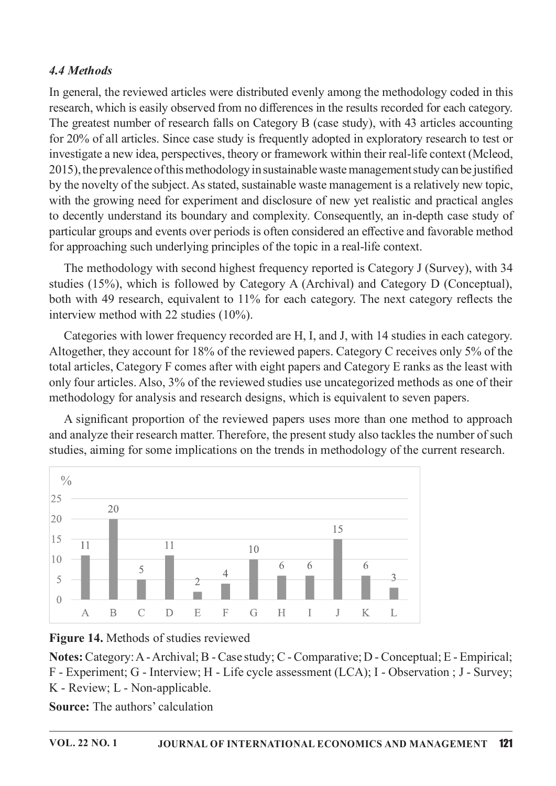# 4.4 Methods

In general, the reviewed articles were distributed evenly among the methodology coded in this research, which is easily observed from no differences in the results recorded for each category. The greatest number of research falls on Category B (case study), with 43 articles accounting for 20% of all articles. Since case study is frequently adopted in exploratory research to test or investigate a new idea, perspectives, theory or framework within their real-life context (Mcleod, 2015), the prevalence of this methodology in sustainable waste management study can be justified by the novelty of the subject. As stated, sustainable waste management is a relatively new topic, with the growing need for experiment and disclosure of new yet realistic and practical angles to decently understand its boundary and complexity. Consequently, an in-depth case study of particular groups and events over periods is often considered an effective and favorable method for approaching such underlying principles of the topic in a real-life context.

The methodology with second highest frequency reported is Category J (Survey), with 34 studies (15%), which is followed by Category A (Archival) and Category D (Conceptual), both with 49 research, equivalent to  $11\%$  for each category. The next category reflects the interview method with 22 studies  $(10\%)$ .

Categories with lower frequency recorded are H, I, and J, with 14 studies in each category. Altogether, they account for 18% of the reviewed papers. Category C receives only 5% of the total articles, Category F comes after with eight papers and Category E ranks as the least with only four articles. Also, 3% of the reviewed studies use uncategorized methods as one of their methodology for analysis and research designs, which is equivalent to seven papers.

A significant proportion of the reviewed papers uses more than one method to approach and analyze their research matter. Therefore, the present study also tackles the number of such studies, aiming for some implications on the trends in methodology of the current research.





Notes:Category:A-Archival;B-Casestudy;C-Comparative;D-Conceptual;E-Empirical; F-Experiment;G-Interview;H-Lifecycleassessment(LCA);I-Observation;J-Survey; K-Review;L-Non-applicable.

**Source:** The authors' calculation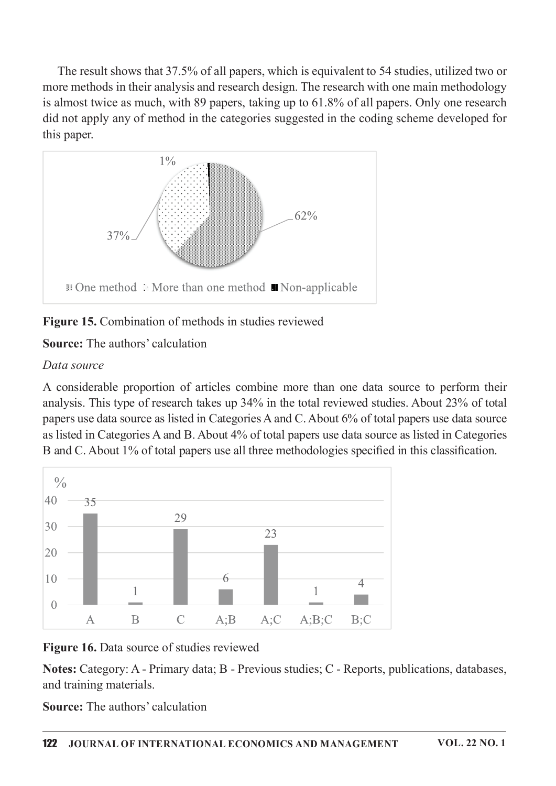The result shows that 37.5% of all papers, which is equivalent to 54 studies, utilized two or more methods in their analysis and research design. The research with one main methodology is almost twice as much, with 89 papers, taking up to 61.8% of all papers. Only one research did not apply any of method in the categories suggested in the coding scheme developed for this paper.



Figure 15. Combination of methods in studies reviewed

Source: The authors' calculation

## Data source

A considerable proportion of articles combine more than one data source to perform their analysis. This type of research takes up 34% in the total reviewed studies. About 23% of total papers use data source as listed in Categories A and C. About 6% of total papers use data source as listed in Categories A and B. About 4% of total papers use data source as listed in Categories B and C. About 1% of total papers use all three methodologies specified in this classification.



Figure 16. Data source of studies reviewed

Notes: Category: A - Primary data; B - Previous studies; C - Reports, publications, databases, and training materials.

**Source:** The authors' calculation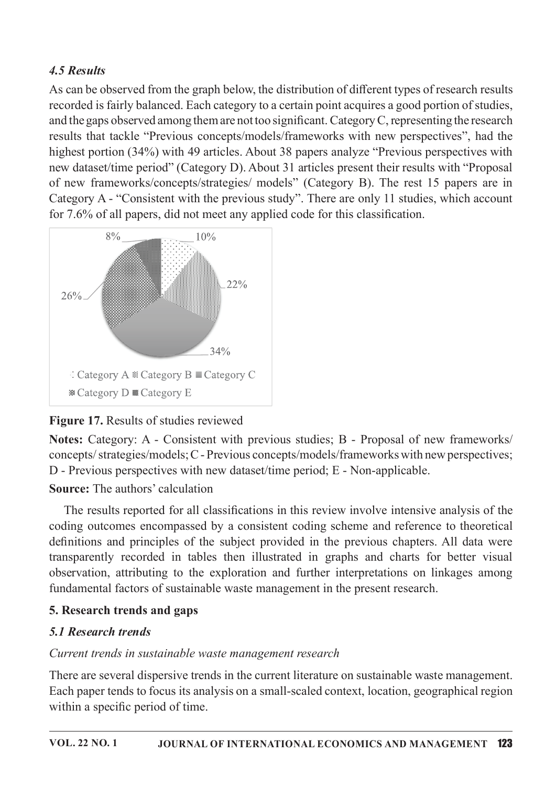# 4.5 Results

As can be observed from the graph below, the distribution of different types of research results recorded is fairly balanced. Each category to a certain point acquires a good portion of studies, and the gaps observed among them are not too significant. Category  $C$ , representing the research results that tackle "Previous concepts/models/frameworks with new perspectives", had the highest portion (34%) with 49 articles. About 38 papers analyze "Previous perspectives with new dataset/time period" (Category D). About 31 articles present their results with "Proposal of new frameworks/concepts/strategies/ models" (Category B). The rest 15 papers are in Category A - "Consistent with the previous study". There are only 11 studies, which account for  $7.6\%$  of all papers, did not meet any applied code for this classification.



# Figure 17. Results of studies reviewed

Notes: Category: A - Consistent with previous studies; B - Proposal of new frameworks/ concepts/strategies/models; C - Previous concepts/models/frameworks with new perspectives; D - Previous perspectives with new dataset/time period; E - Non-applicable.

## Source: The authors' calculation

The results reported for all classifications in this review involve intensive analysis of the coding outcomes encompassed by a consistent coding scheme and reference to theoretical definitions and principles of the subject provided in the previous chapters. All data were transparently recorded in tables then illustrated in graphs and charts for better visual observation, attributing to the exploration and further interpretations on linkages among fundamental factors of sustainable waste management in the present research.

## 5. Research trends and gaps

## 5.1 Research trends

## Current trends in sustainable waste management research

There are several dispersive trends in the current literature on sustainable waste management. Each paper tends to focus its analysis on a small-scaled context, location, geographical region within a specific period of time.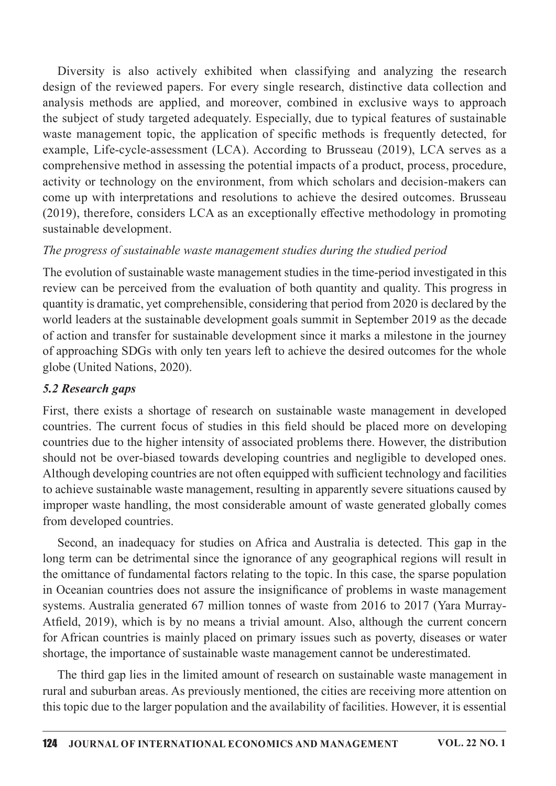Diversity is also actively exhibited when classifying and analyzing the research design of the reviewed papers. For every single research, distinctive data collection and analysis methods are applied, and moreover, combined in exclusive ways to approach the subject of study targeted adequately. Especially, due to typical features of sustainable waste management topic, the application of specific methods is frequently detected, for example, Life-cycle-assessment (LCA). According to Brusseau (2019), LCA serves as a comprehensive method in assessing the potential impacts of a product, process, procedure, activity or technology on the environment, from which scholars and decision-makers can come up with interpretations and resolutions to achieve the desired outcomes. Brusseau  $(2019)$ , therefore, considers LCA as an exceptionally effective methodology in promoting sustainable development.

## The progress of sustainable waste management studies during the studied period

The evolution of sustainable waste management studies in the time-period investigated in this review can be perceived from the evaluation of both quantity and quality. This progress in quantity is dramatic, yet comprehensible, considering that period from 2020 is declared by the world leaders at the sustainable development goals summit in September 2019 as the decade of action and transfer for sustainable development since it marks a milestone in the journey of approaching SDGs with only ten years left to achieve the desired outcomes for the whole globe (United Nations, 2020).

## 5.2 Research gaps

First, there exists a shortage of research on sustainable waste management in developed countries. The current focus of studies in this field should be placed more on developing countries due to the higher intensity of associated problems there. However, the distribution should not be over-biased towards developing countries and negligible to developed ones. Although developing countries are not often equipped with sufficient technology and facilities to achieve sustainable waste management, resulting in apparently severe situations caused by improper waste handling, the most considerable amount of waste generated globally comes from developed countries.

Second, an inadequacy for studies on Africa and Australia is detected. This gap in the long term can be detrimental since the ignorance of any geographical regions will result in the omittance of fundamental factors relating to the topic. In this case, the sparse population in Oceanian countries does not assure the insignificance of problems in waste management systems. Australia generated 67 million tonnes of waste from 2016 to 2017 (Yara Murray-Atfield, 2019), which is by no means a trivial amount. Also, although the current concern for African countries is mainly placed on primary issues such as poverty, diseases or water shortage, the importance of sustainable waste management cannot be underestimated.

The third gap lies in the limited amount of research on sustainable waste management in rural and suburban areas. As previously mentioned, the cities are receiving more attention on this topic due to the larger population and the availability of facilities. However, it is essential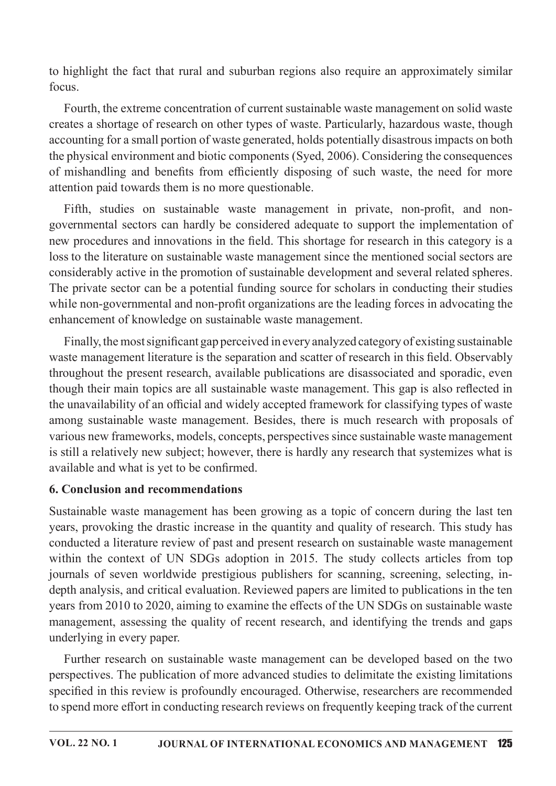to highlight the fact that rural and suburban regions also require an approximately similar focus.

Fourth, the extreme concentration of current sustainable waste management on solid waste creates a shortage of research on other types of waste. Particularly, hazardous waste, though accounting for a small portion of waste generated, holds potentially disastrous impacts on both the physical environment and biotic components (Syed, 2006). Considering the consequences of mishandling and benefits from efficiently disposing of such waste, the need for more attention paid towards them is no more questionable.

Fifth, studies on sustainable waste management in private, non-profit, and nongovernmental sectors can hardly be considered adequate to support the implementation of new procedures and innovations in the field. This shortage for research in this category is a loss to the literature on sustainable waste management since the mentioned social sectors are considerably active in the promotion of sustainable development and several related spheres. The private sector can be a potential funding source for scholars in conducting their studies while non-governmental and non-profit organizations are the leading forces in advocating the enhancement of knowledge on sustainable waste management.

Finally, the most significant gap perceived in every analyzed category of existing sustainable waste management literature is the separation and scatter of research in this field. Observably throughout the present research, available publications are disassociated and sporadic, even though their main topics are all sustainable waste management. This gap is also reflected in the unavailability of an official and widely accepted framework for classifying types of waste among sustainable waste management. Besides, there is much research with proposals of various new frameworks, models, concepts, perspectives since sustainable waste management is still a relatively new subject; however, there is hardly any research that systemizes what is available and what is yet to be confirmed.

## 6. Conclusion and recommendations

Sustainable waste management has been growing as a topic of concern during the last ten years, provoking the drastic increase in the quantity and quality of research. This study has conducted a literature review of past and present research on sustainable waste management within the context of UN SDGs adoption in 2015. The study collects articles from top journals of seven worldwide prestigious publishers for scanning, screening, selecting, indepth analysis, and critical evaluation. Reviewed papers are limited to publications in the ten years from 2010 to 2020, aiming to examine the effects of the UN SDGs on sustainable waste management, assessing the quality of recent research, and identifying the trends and gaps underlying in every paper.

Further research on sustainable waste management can be developed based on the two perspectives. The publication of more advanced studies to delimitate the existing limitations specified in this review is profoundly encouraged. Otherwise, researchers are recommended to spend more effort in conducting research reviews on frequently keeping track of the current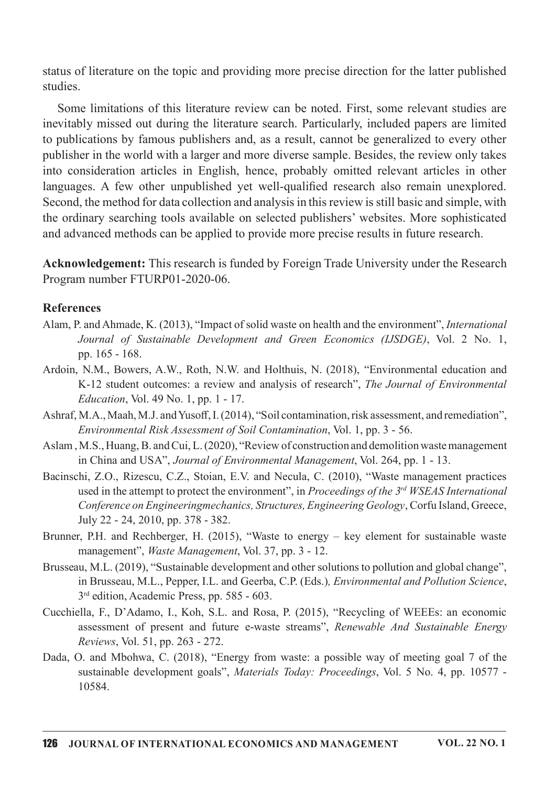status of literature on the topic and providing more precise direction for the latter published studies.

Some limitations of this literature review can be noted. First, some relevant studies are inevitably missed out during the literature search. Particularly, included papers are limited to publications by famous publishers and, as a result, cannot be generalized to every other publisher in the world with a larger and more diverse sample. Besides, the review only takes into consideration articles in English, hence, probably omitted relevant articles in other languages. A few other unpublished yet well-qualified research also remain unexplored. Second, the method for data collection and analysis in this review is still basic and simple, with the ordinary searching tools available on selected publishers' websites. More sophisticated and advanced methods can be applied to provide more precise results in future research.

Acknowledgement: This research is funded by Foreign Trade University under the Research Program number FTURP01-2020-06.

#### References

- Alam, P. and Ahmade, K. (2013), "Impact of solid waste on health and the environment", International Journal of Sustainable Development and Green Economics (IJSDGE), Vol. 2 No. 1, pp.165-168.
- Ardoin, N.M., Bowers, A.W., Roth, N.W. and Holthuis, N. (2018), "Environmental education and K-12 student outcomes: a review and analysis of research", The Journal of Environmental Education, Vol. 49 No. 1, pp. 1 - 17.
- Ashraf, M.A., Maah, M.J. and Yusoff, I. (2014), "Soil contamination, risk assessment, and remediation", Environmental Risk Assessment of Soil Contamination, Vol. 1, pp. 3 - 56.
- Aslam, M.S., Huang, B. and Cui, L. (2020), "Review of construction and demolition waste management in China and USA", Journal of Environmental Management, Vol. 264, pp. 1 - 13.
- Bacinschi, Z.O., Rizescu, C.Z., Stoian, E.V. and Necula, C. (2010), "Waste management practices used in the attempt to protect the environment", in Proceedings of the  $3<sup>rd</sup> WSEAS International$ Conference on Engineeringmechanics, Structures, Engineering Geology, Corfu Island, Greece, July 22 - 24, 2010, pp. 378 - 382.
- Brunner, P.H. and Rechberger, H. (2015), "Waste to energy key element for sustainable waste management", *Waste Management*, Vol. 37, pp. 3 - 12.
- Brusseau, M.L. (2019), "Sustainable development and other solutions to pollution and global change". in Brusseau, M.L., Pepper, I.L. and Geerba, C.P. (Eds.), *Environmental and Pollution Science*, 3<sup>rd</sup> edition, Academic Press, pp. 585 - 603.
- Cucchiella, F., D'Adamo, I., Koh, S.L. and Rosa, P. (2015), "Recycling of WEEEs: an economic assessment of present and future e-waste streams", Renewable And Sustainable Energy Reviews, Vol. 51, pp. 263 - 272.
- Dada, O. and Mbohwa, C. (2018), "Energy from waste: a possible way of meeting goal 7 of the sustainable development goals", Materials Today: Proceedings, Vol. 5 No. 4, pp. 10577 -10584.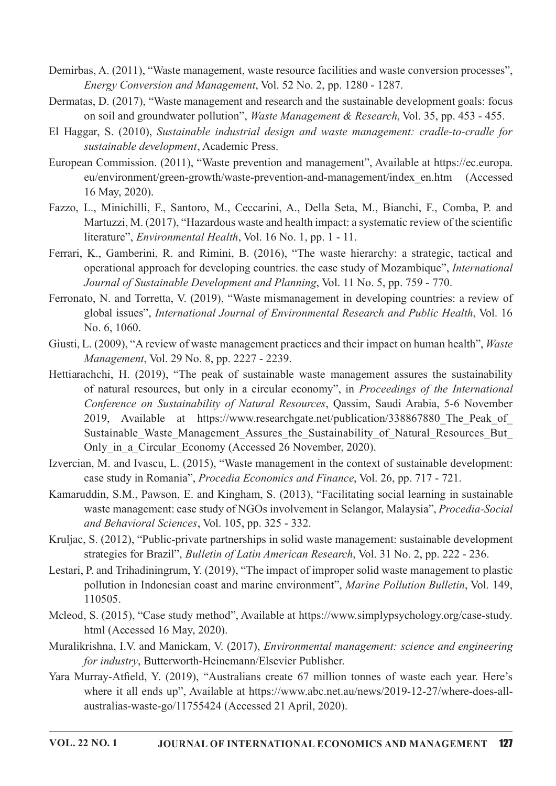- Demirbas, A. (2011), "Waste management, waste resource facilities and waste conversion processes", Energy Conversion and Management, Vol. 52 No. 2, pp. 1280 - 1287.
- Dermatas, D. (2017), "Waste management and research and the sustainable development goals: focus on soil and groundwater pollution", Waste Management & Research, Vol. 35, pp. 453 - 455.
- El Haggar, S. (2010), Sustainable industrial design and waste management: cradle-to-cradle for sustainable development, Academic Press.
- European Commission. (2011), "Waste prevention and management", Available at https://ec.europa. eu/environment/green-growth/waste-prevention-and-management/index\_en.htm (Accessed 16May,2020).
- Fazzo, L., Minichilli, F., Santoro, M., Ceccarini,A., Della Seta, M., Bianchi, F., Comba, P. and Martuzzi, M. (2017), "Hazardous waste and health impact: a systematic review of the scientific literature", *Environmental Health*, Vol. 16 No. 1, pp. 1 - 11.
- Ferrari, K., Gamberini, R. and Rimini, B. (2016), "The waste hierarchy: a strategic, tactical and operational approach for developing countries. the case study of Mozambique", International Journal of Sustainable Development and Planning, Vol. 11 No. 5, pp. 759 - 770.
- Ferronato, N. and Torretta, V. (2019), "Waste mismanagement in developing countries: a review of global issues", International Journal of Environmental Research and Public Health, Vol. 16 No.6,1060.
- Giusti, L. (2009), "A review of waste management practices and their impact on human health", Waste Management, Vol. 29 No. 8, pp. 2227 - 2239.
- Hettiarachchi, H. (2019), "The peak of sustainable waste management assures the sustainability of natural resources, but only in a circular economy", in *Proceedings of the International* Conference on Sustainability of Natural Resources, Oassim, Saudi Arabia, 5-6 November 2019, Available at https://www.researchgate.net/publication/338867880 The Peak of Sustainable Waste Management Assures the Sustainability of Natural Resources But Only in a Circular Economy (Accessed 26 November, 2020).
- Izvercian, M. and Ivascu, L. (2015), "Waste management in the context of sustainable development: case study in Romania", *Procedia Economics and Finance*, Vol. 26, pp. 717 - 721.
- Kamaruddin, S.M., Pawson, E. and Kingham, S. (2013), "Facilitating social learning in sustainable waste management: case study of NGOs involvement in Selangor, Malaysia", Procedia-Social and Behavioral Sciences, Vol. 105, pp. 325 - 332.
- Kruljac, S. (2012), "Public-private partnerships in solid waste management: sustainable development strategies for Brazil", *Bulletin of Latin American Research*, Vol. 31 No. 2, pp. 222 - 236.
- Lestari, P. and Trihadiningrum, Y. (2019), "The impact of improper solid waste management to plastic pollution in Indonesian coast and marine environment", Marine Pollution Bulletin, Vol. 149, 110505.
- Mcleod, S. (2015), "Case study method", Available at https://www.simplypsychology.org/case-study. html (Accessed 16 May, 2020).
- Muralikrishna, I.V. and Manickam, V. (2017), *Environmental management: science and engineering* for industry, Butterworth-Heinemann/Elsevier Publisher.
- Yara Murray-Atfield, Y. (2019), "Australians create 67 million tonnes of waste each year. Here's where it all ends up", Available at https://www.abc.net.au/news/2019-12-27/where-does-allaustralias-waste-go/11755424 (Accessed 21 April, 2020).